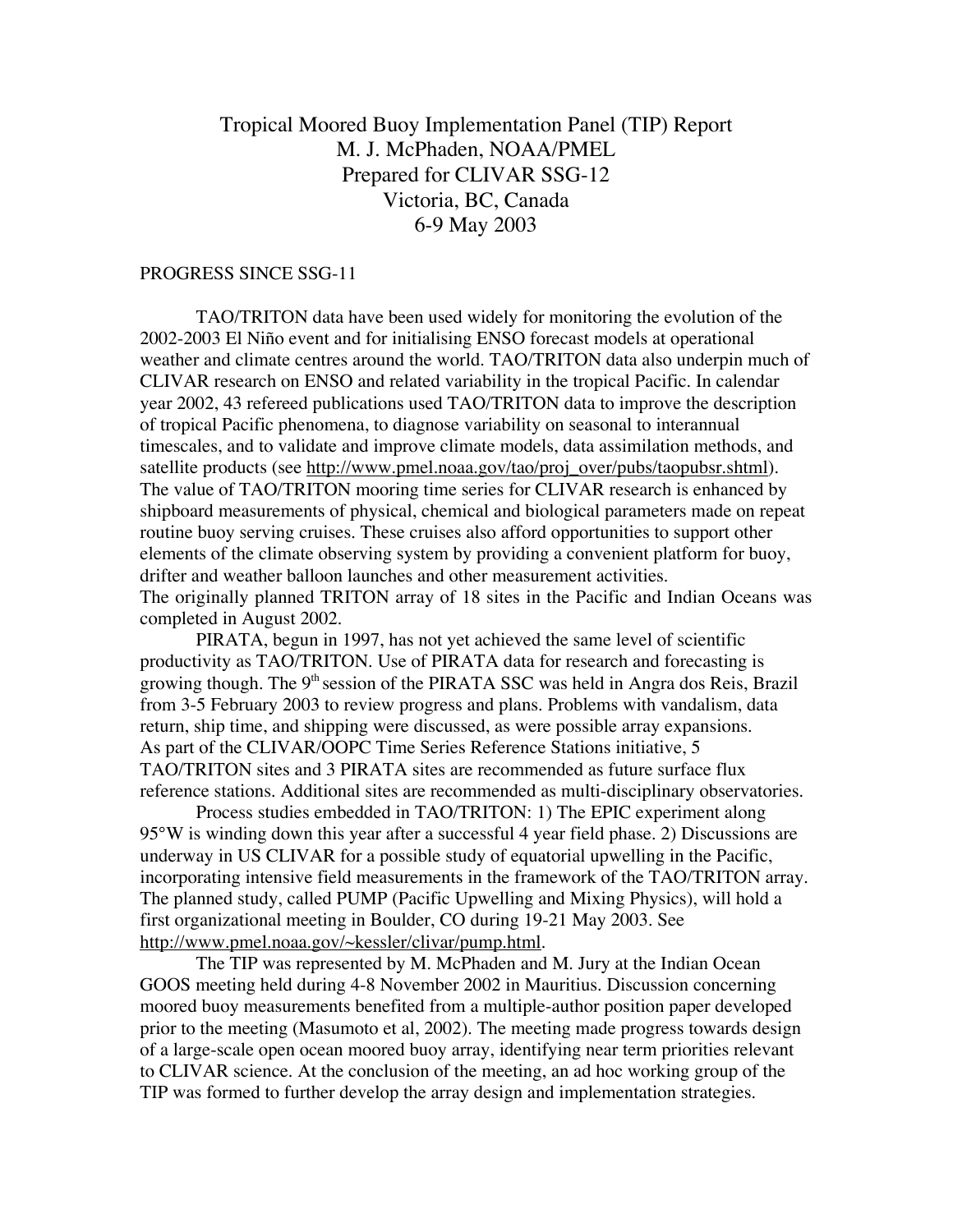# Tropical Moored Buoy Implementation Panel (TIP) Report M. J. McPhaden, NOAA/PMEL Prepared for CLIVAR SSG-12 Victoria, BC, Canada 6-9 May 2003

## PROGRESS SINCE SSG-11

TAO/TRITON data have been used widely for monitoring the evolution of the 2002-2003 El Niño event and for initialising ENSO forecast models at operational weather and climate centres around the world. TAO/TRITON data also underpin much of CLIVAR research on ENSO and related variability in the tropical Pacific. In calendar year 2002, 43 refereed publications used TAO/TRITON data to improve the description of tropical Pacific phenomena, to diagnose variability on seasonal to interannual timescales, and to validate and improve climate models, data assimilation methods, and satellite products (see http://www.pmel.noaa.gov/tao/proj\_over/pubs/taopubsr.shtml). The value of TAO/TRITON mooring time series for CLIVAR research is enhanced by shipboard measurements of physical, chemical and biological parameters made on repeat routine buoy serving cruises. These cruises also afford opportunities to support other elements of the climate observing system by providing a convenient platform for buoy, drifter and weather balloon launches and other measurement activities. The originally planned TRITON array of 18 sites in the Pacific and Indian Oceans was completed in August 2002.

PIRATA, begun in 1997, has not yet achieved the same level of scientific productivity as TAO/TRITON. Use of PIRATA data for research and forecasting is growing though. The  $9<sup>th</sup>$  session of the PIRATA SSC was held in Angra dos Reis, Brazil from 3-5 February 2003 to review progress and plans. Problems with vandalism, data return, ship time, and shipping were discussed, as were possible array expansions. As part of the CLIVAR/OOPC Time Series Reference Stations initiative, 5 TAO/TRITON sites and 3 PIRATA sites are recommended as future surface flux reference stations. Additional sites are recommended as multi-disciplinary observatories.

Process studies embedded in TAO/TRITON: 1) The EPIC experiment along 95°W is winding down this year after a successful 4 year field phase. 2) Discussions are underway in US CLIVAR for a possible study of equatorial upwelling in the Pacific, incorporating intensive field measurements in the framework of the TAO/TRITON array. The planned study, called PUMP (Pacific Upwelling and Mixing Physics), will hold a first organizational meeting in Boulder, CO during 19-21 May 2003. See http://www.pmel.noaa.gov/~kessler/clivar/pump.html.

The TIP was represented by M. McPhaden and M. Jury at the Indian Ocean GOOS meeting held during 4-8 November 2002 in Mauritius. Discussion concerning moored buoy measurements benefited from a multiple-author position paper developed prior to the meeting (Masumoto et al, 2002). The meeting made progress towards design of a large-scale open ocean moored buoy array, identifying near term priorities relevant to CLIVAR science. At the conclusion of the meeting, an ad hoc working group of the TIP was formed to further develop the array design and implementation strategies.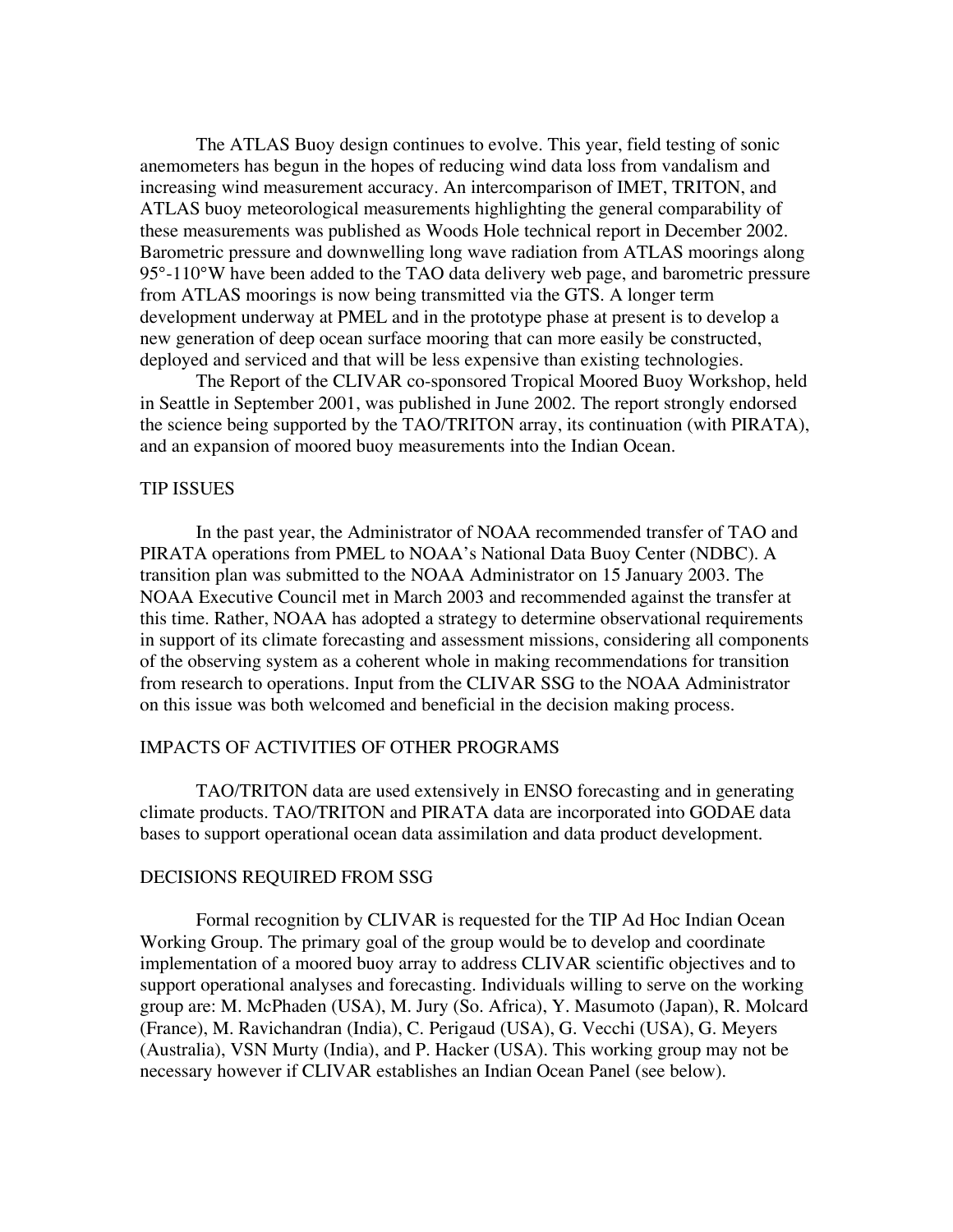The ATLAS Buoy design continues to evolve. This year, field testing of sonic anemometers has begun in the hopes of reducing wind data loss from vandalism and increasing wind measurement accuracy. An intercomparison of IMET, TRITON, and ATLAS buoy meteorological measurements highlighting the general comparability of these measurements was published as Woods Hole technical report in December 2002. Barometric pressure and downwelling long wave radiation from ATLAS moorings along 95°-110°W have been added to the TAO data delivery web page, and barometric pressure from ATLAS moorings is now being transmitted via the GTS. A longer term development underway at PMEL and in the prototype phase at present is to develop a new generation of deep ocean surface mooring that can more easily be constructed, deployed and serviced and that will be less expensive than existing technologies.

The Report of the CLIVAR co-sponsored Tropical Moored Buoy Workshop, held in Seattle in September 2001, was published in June 2002. The report strongly endorsed the science being supported by the TAO/TRITON array, its continuation (with PIRATA), and an expansion of moored buoy measurements into the Indian Ocean.

## TIP ISSUES

In the past year, the Administrator of NOAA recommended transfer of TAO and PIRATA operations from PMEL to NOAA's National Data Buoy Center (NDBC). A transition plan was submitted to the NOAA Administrator on 15 January 2003. The NOAA Executive Council met in March 2003 and recommended against the transfer at this time. Rather, NOAA has adopted a strategy to determine observational requirements in support of its climate forecasting and assessment missions, considering all components of the observing system as a coherent whole in making recommendations for transition from research to operations. Input from the CLIVAR SSG to the NOAA Administrator on this issue was both welcomed and beneficial in the decision making process.

#### IMPACTS OF ACTIVITIES OF OTHER PROGRAMS

TAO/TRITON data are used extensively in ENSO forecasting and in generating climate products. TAO/TRITON and PIRATA data are incorporated into GODAE data bases to support operational ocean data assimilation and data product development.

#### DECISIONS REQUIRED FROM SSG

Formal recognition by CLIVAR is requested for the TIP Ad Hoc Indian Ocean Working Group. The primary goal of the group would be to develop and coordinate implementation of a moored buoy array to address CLIVAR scientific objectives and to support operational analyses and forecasting. Individuals willing to serve on the working group are: M. McPhaden (USA), M. Jury (So. Africa), Y. Masumoto (Japan), R. Molcard (France), M. Ravichandran (India), C. Perigaud (USA), G. Vecchi (USA), G. Meyers (Australia), VSN Murty (India), and P. Hacker (USA). This working group may not be necessary however if CLIVAR establishes an Indian Ocean Panel (see below).